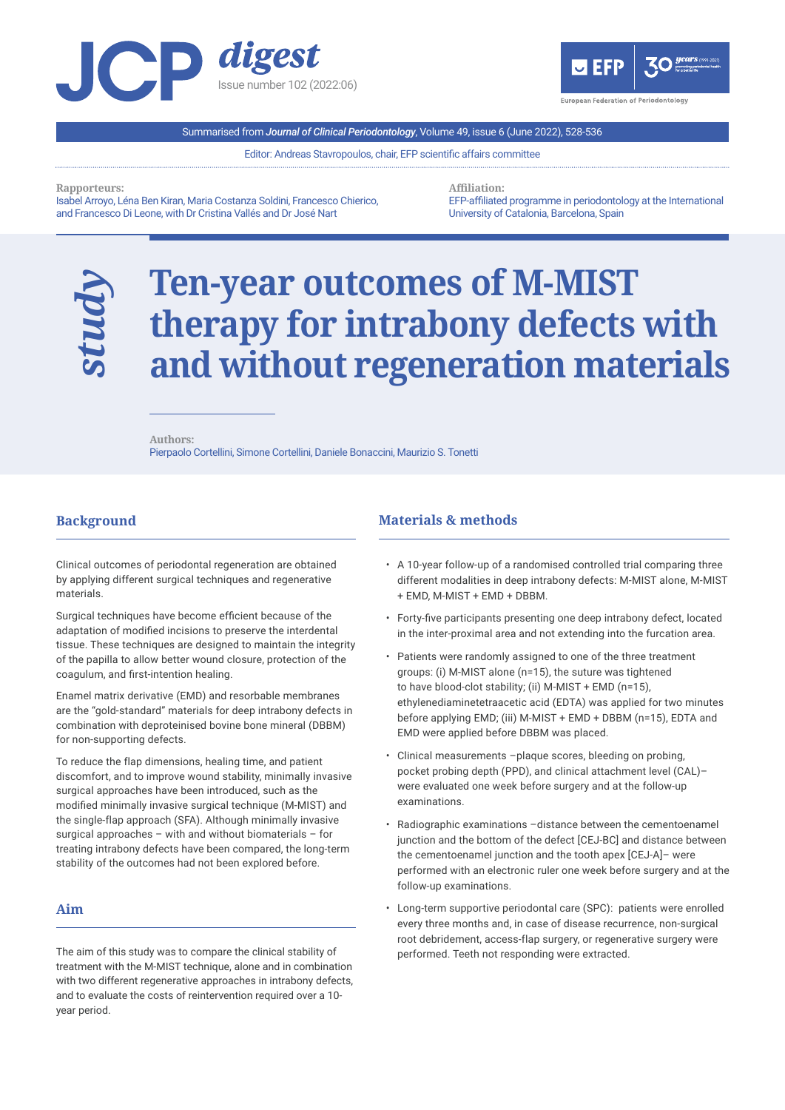



Summarised from *Journal of Clinical Periodontology*, Volume 49, issue 6 (June 2022), 528-536

Editor: Andreas Stavropoulos, chair, EFP scientific affairs committee

**Rapporteurs:** 

*study*

Isabel Arroyo, Léna Ben Kiran, Maria Costanza Soldini, Francesco Chierico, and Francesco Di Leone, with Dr Cristina Vallés and Dr José Nart

**Affiliation:**  EFP-affiliated programme in periodontology at the International University of Catalonia, Barcelona, Spain

# **Ten-year outcomes of M-MIST therapy for intrabony defects with and without regeneration materials**

**Authors:**  Pierpaolo Cortellini, Simone Cortellini, Daniele Bonaccini, Maurizio S. Tonetti

## **Background**

l

Clinical outcomes of periodontal regeneration are obtained by applying different surgical techniques and regenerative materials.

Surgical techniques have become efficient because of the adaptation of modified incisions to preserve the interdental tissue. These techniques are designed to maintain the integrity of the papilla to allow better wound closure, protection of the coagulum, and first-intention healing.

Enamel matrix derivative (EMD) and resorbable membranes are the "gold-standard" materials for deep intrabony defects in combination with deproteinised bovine bone mineral (DBBM) for non-supporting defects.

To reduce the flap dimensions, healing time, and patient discomfort, and to improve wound stability, minimally invasive surgical approaches have been introduced, such as the modified minimally invasive surgical technique (M-MIST) and the single-flap approach (SFA). Although minimally invasive surgical approaches – with and without biomaterials – for treating intrabony defects have been compared, the long-term stability of the outcomes had not been explored before.

## **Aim**

l

The aim of this study was to compare the clinical stability of treatment with the M-MIST technique, alone and in combination with two different regenerative approaches in intrabony defects, and to evaluate the costs of reintervention required over a 10 year period.

## **Materials & methods**

l

- A 10-year follow-up of a randomised controlled trial comparing three different modalities in deep intrabony defects: M-MIST alone, M-MIST + EMD, M-MIST + EMD + DBBM.
- Forty-five participants presenting one deep intrabony defect, located in the inter-proximal area and not extending into the furcation area.
- Patients were randomly assigned to one of the three treatment groups: (i) M-MIST alone (n=15), the suture was tightened to have blood-clot stability; (ii) M-MIST + EMD (n=15), ethylenediaminetetraacetic acid (EDTA) was applied for two minutes before applying EMD; (iii) M-MIST + EMD + DBBM (n=15), EDTA and EMD were applied before DBBM was placed.
- Clinical measurements –plaque scores, bleeding on probing, pocket probing depth (PPD), and clinical attachment level (CAL)– were evaluated one week before surgery and at the follow-up examinations.
- Radiographic examinations -distance between the cementoenamel junction and the bottom of the defect [CEJ-BC] and distance between the cementoenamel junction and the tooth apex [CEJ-A]– were performed with an electronic ruler one week before surgery and at the follow-up examinations.
- Long-term supportive periodontal care (SPC): patients were enrolled every three months and, in case of disease recurrence, non-surgical root debridement, access-flap surgery, or regenerative surgery were performed. Teeth not responding were extracted.